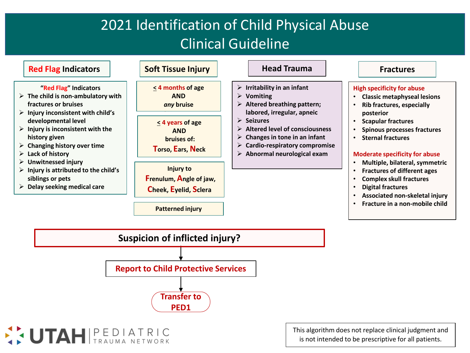## 2021 Identification of Child Physical Abuse Clinical Guideline



SUTAH PEDIATRIC

This algorithm does not replace clinical judgment and is not intended to be prescriptive for all patients.